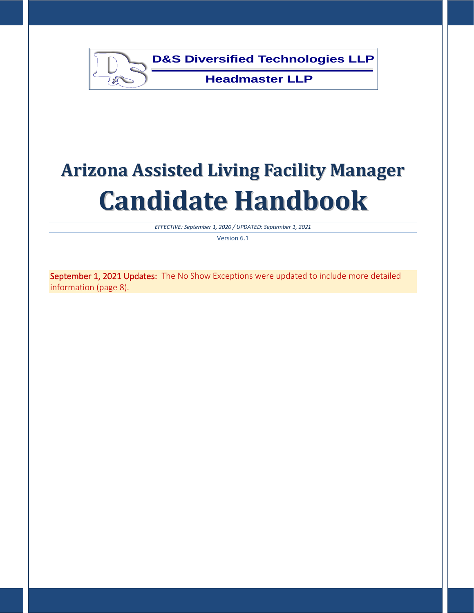# **Arizona Assisted Living Facility Manager Candidate Handbook**

*EFFECTIVE: September 1, 2020 / UPDATED: September 1, 2021*

Version 6.1

September 1, 2021 Updates: The No Show Exceptions were updated to include more detailed information (page 8).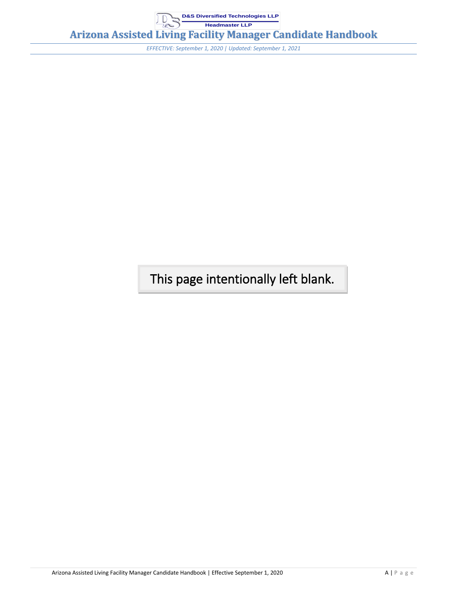This page intentionally left blank.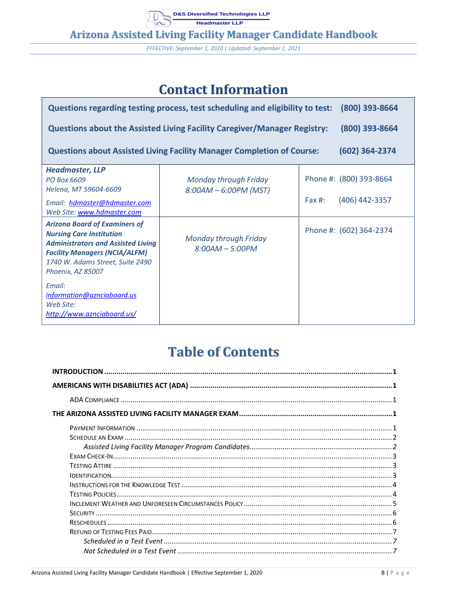**Arizona Assisted Living Facility Manager Candidate Handbook**

*EFFECTIVE: September 1, 2020 | Updated: September 1, 2021*

# **Contact Information**

| Questions regarding testing process, test scheduling and eligibility to test:<br>(800) 393-8664                                                                                                                       |                                                                               |        |                         |  |  |  |
|-----------------------------------------------------------------------------------------------------------------------------------------------------------------------------------------------------------------------|-------------------------------------------------------------------------------|--------|-------------------------|--|--|--|
| <b>Questions about the Assisted Living Facility Caregiver/Manager Registry:</b><br>(800) 393-8664                                                                                                                     |                                                                               |        |                         |  |  |  |
|                                                                                                                                                                                                                       | <b>Questions about Assisted Living Facility Manager Completion of Course:</b> |        | (602) 364-2374          |  |  |  |
| <b>Headmaster, LLP</b><br>PO Box 6609<br>Helena, MT 59604-6609                                                                                                                                                        | <b>Monday through Friday</b><br>$8:00AM - 6:00PM$ (MST)                       |        | Phone #: (800) 393-8664 |  |  |  |
| Email: hdmaster@hdmaster.com<br>Web Site: www.hdmaster.com                                                                                                                                                            |                                                                               | Fax #: | (406) 442-3357          |  |  |  |
| <b>Arizona Board of Examiners of</b><br><b>Nursing Care Institution</b><br><b>Administrators and Assisted Living</b><br><b>Facility Managers (NCIA/ALFM)</b><br>1740 W. Adams Street, Suite 2490<br>Phoenix, AZ 85007 | <b>Monday through Friday</b><br>$8:00AM - 5:00PM$                             |        | Phone #: (602) 364-2374 |  |  |  |
| Fmail:<br>information@aznciaboard.us<br>Web Site:<br>http://www.aznciaboard.us/                                                                                                                                       |                                                                               |        |                         |  |  |  |

# **Table of Contents**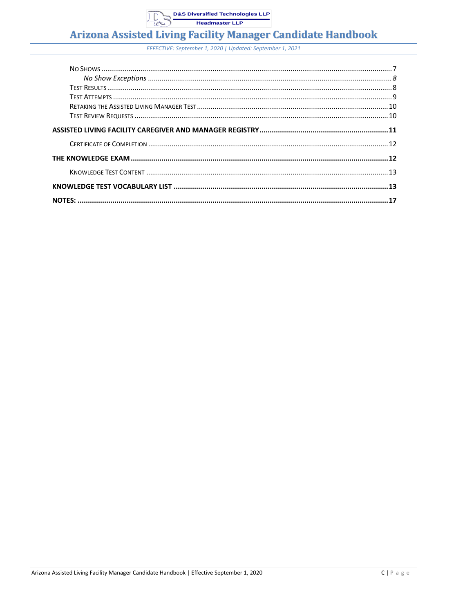## **Arizona Assisted Living Facility Manager Candidate Handbook**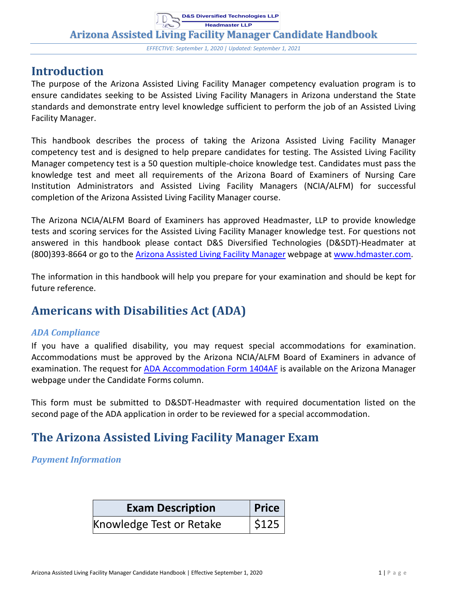**D&S Diversified Technologies LLP Headmaster LLP Arizona Assisted Living Facility Manager Candidate Handbook**

*EFFECTIVE: September 1, 2020 | Updated: September 1, 2021*

## <span id="page-4-0"></span>**Introduction**

The purpose of the Arizona Assisted Living Facility Manager competency evaluation program is to ensure candidates seeking to be Assisted Living Facility Managers in Arizona understand the State standards and demonstrate entry level knowledge sufficient to perform the job of an Assisted Living Facility Manager.

This handbook describes the process of taking the Arizona Assisted Living Facility Manager competency test and is designed to help prepare candidates for testing. The Assisted Living Facility Manager competency test is a 50 question multiple-choice knowledge test. Candidates must pass the knowledge test and meet all requirements of the Arizona Board of Examiners of Nursing Care Institution Administrators and Assisted Living Facility Managers (NCIA/ALFM) for successful completion of the Arizona Assisted Living Facility Manager course.

The Arizona NCIA/ALFM Board of Examiners has approved Headmaster, LLP to provide knowledge tests and scoring services for the Assisted Living Facility Manager knowledge test. For questions not answered in this handbook please contact D&S Diversified Technologies (D&SDT)-Headmater at (800)393-8664 or go to the Arizona [Assisted Living Facility Manager](https://hdmaster.com/testing/othertesting/AZ_alm/AZ_ALM_Home.htm) webpage at [www.hdmaster.com.](http://www.hdmaster.com/)

The information in this handbook will help you prepare for your examination and should be kept for future reference.

## <span id="page-4-1"></span>**Americans with Disabilities Act (ADA)**

#### <span id="page-4-2"></span>*ADA Compliance*

If you have a qualified disability, you may request special accommodations for examination. Accommodations must be approved by the Arizona NCIA/ALFM Board of Examiners in advance of examination. The request for [ADA Accommodation Form 1404AF](https://hdmaster.com/testing/othertesting/AZ_alm/afformpages/afforms/Fillable%201404AF_ADA_REQUEST.pdf) is available on the Arizona Manager webpage under the Candidate Forms column.

This form must be submitted to D&SDT-Headmaster with required documentation listed on the second page of the ADA application in order to be reviewed for a special accommodation.

## <span id="page-4-3"></span>**The Arizona Assisted Living Facility Manager Exam**

#### <span id="page-4-4"></span>*Payment Information*

| <b>Exam Description</b>  | <b>Price</b> |
|--------------------------|--------------|
| Knowledge Test or Retake | \$125        |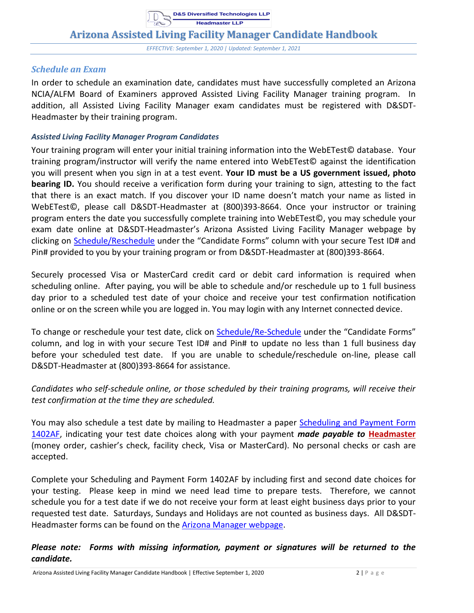**Arizona Assisted Living Facility Manager Candidate Handbook**

*EFFECTIVE: September 1, 2020 | Updated: September 1, 2021*

#### <span id="page-5-0"></span>*Schedule an Exam*

In order to schedule an examination date, candidates must have successfully completed an Arizona NCIA/ALFM Board of Examiners approved Assisted Living Facility Manager training program. In addition, all Assisted Living Facility Manager exam candidates must be registered with D&SDT-Headmaster by their training program.

#### <span id="page-5-1"></span>*Assisted Living Facility Manager Program Candidates*

Your training program will enter your initial training information into the WebETest© database. Your training program/instructor will verify the name entered into WebETest© against the identification you will present when you sign in at a test event. **Your ID must be a US government issued, photo bearing ID.** You should receive a verification form during your training to sign, attesting to the fact that there is an exact match. If you discover your ID name doesn't match your name as listed in WebETest©, please call D&SDT-Headmaster at (800)393-8664. Once your instructor or training program enters the date you successfully complete training into WebETest©, you may schedule your exam date online at D&SDT-Headmaster's Arizona Assisted Living Facility Manager webpage by clicking on **Schedule/Reschedule** under the "Candidate Forms" column with your secure Test ID# and Pin# provided to you by your training program or from D&SDT-Headmaster at (800)393-8664.

Securely processed Visa or MasterCard credit card or debit card information is required when scheduling online. After paying, you will be able to schedule and/or reschedule up to 1 full business day prior to a scheduled test date of your choice and receive your test confirmation notification online or on the screen while you are logged in. You may login with any Internet connected device.

To change or reschedule your test date, click on **Schedule/Re-Schedule** under the "Candidate Forms" column, and log in with your secure Test ID# and Pin# to update no less than 1 full business day before your scheduled test date. If you are unable to schedule/reschedule on-line, please call D&SDT-Headmaster at (800)393-8664 for assistance.

*Candidates who self-schedule online, or those scheduled by their training programs, will receive their test confirmation at the time they are scheduled.*

You may also schedule a test date by mailing to Headmaster a paper [Scheduling](https://hdmaster.com/testing/othertesting/AZ_alm/afformpages/afforms/1402AF.pdf) and Payment Form [1402AF,](https://hdmaster.com/testing/othertesting/AZ_alm/afformpages/afforms/1402AF.pdf) indicating your test date choices along with your payment *made payable to* **Headmaster** (money order, cashier's check, facility check, Visa or MasterCard). No personal checks or cash are accepted.

Complete your Scheduling and Payment Form 1402AF by including first and second date choices for your testing. Please keep in mind we need lead time to prepare tests. Therefore, we cannot schedule you for a test date if we do not receive your form at least eight business days prior to your requested test date. Saturdays, Sundays and Holidays are not counted as business days. All D&SDT-Headmaster forms can be found on the [Arizona Manager](https://hdmaster.com/testing/othertesting/AZ_alm/AZ_ALM_Home.htm) webpage.

*Please note: Forms with missing information, payment or signatures will be returned to the candidate.*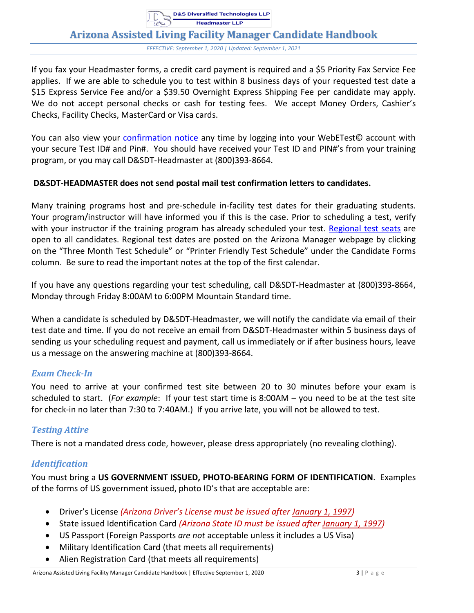#### **Arizona Assisted Living Facility Manager Candidate Handbook**

*EFFECTIVE: September 1, 2020 | Updated: September 1, 2021*

If you fax your Headmaster forms, a credit card payment is required and a \$5 Priority Fax Service Fee applies. If we are able to schedule you to test within 8 business days of your requested test date a \$15 Express Service Fee and/or a \$39.50 Overnight Express Shipping Fee per candidate may apply. We do not accept personal checks or cash for testing fees. We accept Money Orders, Cashier's Checks, Facility Checks, MasterCard or Visa cards.

You can also view your [confirmation](https://www.dandsdiversifiedtech.com/cgi-bin/CGIRegMaster/login?StateAbbrv=AF&logtype=Schedule) notice any time by logging into your WebETest© account with your secure Test ID# and Pin#. You should have received your Test ID and PIN#'s from your training program, or you may call D&SDT-Headmaster at (800)393-8664.

#### **D&SDT-HEADMASTER does not send postal mail test confirmation letters to candidates.**

Many training programs host and pre-schedule in-facility test dates for their graduating students. Your program/instructor will have informed you if this is the case. Prior to scheduling a test, verify with your instructor if the training program has already scheduled your test. [Regional test](https://www.dandsdiversifiedtech.com/cgi-bin/CGIRegMaster/schedule?StateAbbrv=AF) seats are open to all candidates. Regional test dates are posted on the Arizona Manager webpage by clicking on the "Three Month Test Schedule" or "Printer Friendly Test Schedule" under the Candidate Forms column. Be sure to read the important notes at the top of the first calendar.

If you have any questions regarding your test scheduling, call D&SDT-Headmaster at (800)393-8664, Monday through Friday 8:00AM to 6:00PM Mountain Standard time.

When a candidate is scheduled by D&SDT-Headmaster, we will notify the candidate via email of their test date and time. If you do not receive an email from D&SDT-Headmaster within 5 business days of sending us your scheduling request and payment, call us immediately or if after business hours, leave us a message on the answering machine at (800)393-8664.

#### <span id="page-6-0"></span>*Exam Check-In*

You need to arrive at your confirmed test site between 20 to 30 minutes before your exam is scheduled to start. (*For example*: If your test start time is 8:00AM – you need to be at the test site for check-in no later than 7:30 to 7:40AM.) If you arrive late, you will not be allowed to test.

#### <span id="page-6-1"></span>*Testing Attire*

<span id="page-6-2"></span>There is not a mandated dress code, however, please dress appropriately (no revealing clothing).

#### *Identification*

You must bring a **US GOVERNMENT ISSUED, PHOTO-BEARING FORM OF IDENTIFICATION**. Examples of the forms of US government issued, photo ID's that are acceptable are:

- Driver's License *(Arizona Driver's License must be issued after January 1, 1997)*
- State issued Identification Card *(Arizona State ID must be issued after January 1, 1997)*
- US Passport (Foreign Passports *are not* acceptable unless it includes a US Visa)
- Military Identification Card (that meets all requirements)
- Alien Registration Card (that meets all requirements)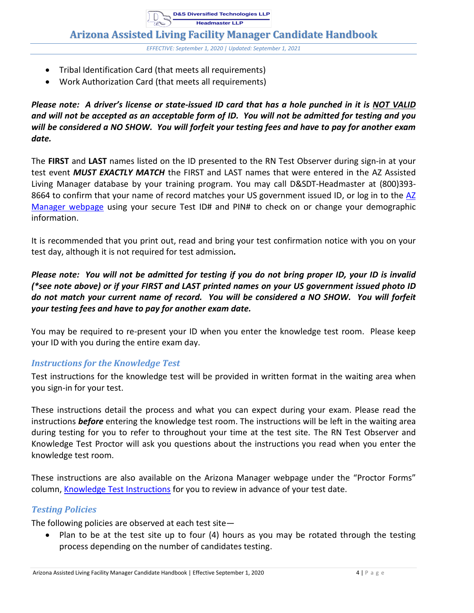**Arizona Assisted Living Facility Manager Candidate Handbook**

*EFFECTIVE: September 1, 2020 | Updated: September 1, 2021*

- Tribal Identification Card (that meets all requirements)
- Work Authorization Card (that meets all requirements)

*Please note: A driver's license or state-issued ID card that has a hole punched in it is NOT VALID and will not be accepted as an acceptable form of ID. You will not be admitted for testing and you will be considered a NO SHOW. You will forfeit your testing fees and have to pay for another exam date.*

The **FIRST** and **LAST** names listed on the ID presented to the RN Test Observer during sign-in at your test event *MUST EXACTLY MATCH* the FIRST and LAST names that were entered in the AZ Assisted Living Manager database by your training program. You may call D&SDT-Headmaster at (800)393- 8664 to confirm that your name of record matches your US government issued ID, or log in to the AZ Manager [webpage](https://www.dandsdiversifiedtech.com/cgi-bin/CGIRegMaster/login?StateAbbrv=AF&logtype=Schedule) using your secure Test ID# and PIN# to check on or change your demographic information.

It is recommended that you print out, read and bring your test confirmation notice with you on your test day, although it is not required for test admission*.*

*Please note: You will not be admitted for testing if you do not bring proper ID, your ID is invalid (\*see note above) or if your FIRST and LAST printed names on your US government issued photo ID do not match your current name of record. You will be considered a NO SHOW. You will forfeit your testing fees and have to pay for another exam date.*

You may be required to re-present your ID when you enter the knowledge test room. Please keep your ID with you during the entire exam day.

#### <span id="page-7-0"></span>*Instructions for the Knowledge Test*

Test instructions for the knowledge test will be provided in written format in the waiting area when you sign-in for your test.

These instructions detail the process and what you can expect during your exam. Please read the instructions *before* entering the knowledge test room. The instructions will be left in the waiting area during testing for you to refer to throughout your time at the test site. The RN Test Observer and Knowledge Test Proctor will ask you questions about the instructions you read when you enter the knowledge test room.

These instructions are also available on the Arizona Manager webpage under the "Proctor Forms" column, [Knowledge Test Instructions](https://hdmaster.com/testing/othertesting/AZ_alm/afformpages/afforms/Arizona%20Assisted%20Living%20Facility%20Manager%20WebETest%20NEW.pdf) for you to review in advance of your test date.

#### <span id="page-7-1"></span>*Testing Policies*

The following policies are observed at each test site—

• Plan to be at the test site up to four (4) hours as you may be rotated through the testing process depending on the number of candidates testing.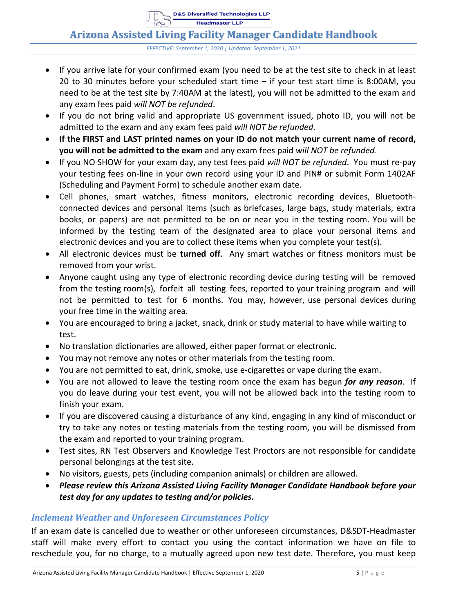**D&S Diversified Technologies LLP**

**Headmaster LLP**

#### **Arizona Assisted Living Facility Manager Candidate Handbook**

*EFFECTIVE: September 1, 2020 | Updated: September 1, 2021*

- If you arrive late for your confirmed exam (you need to be at the test site to check in at least 20 to 30 minutes before your scheduled start time – if your test start time is 8:00AM, you need to be at the test site by 7:40AM at the latest), you will not be admitted to the exam and any exam fees paid *will NOT be refunded*.
- If you do not bring valid and appropriate US government issued, photo ID, you will not be admitted to the exam and any exam fees paid *will NOT be refunded*.
- **If the FIRST and LAST printed names on your ID do not match your current name of record, you will not be admitted to the exam** and any exam fees paid *will NOT be refunded*.
- If you NO SHOW for your exam day, any test fees paid *will NOT be refunded*. You must re-pay your testing fees on-line in your own record using your ID and PIN# or submit Form 1402AF (Scheduling and Payment Form) to schedule another exam date.
- Cell phones, smart watches, fitness monitors, electronic recording devices, Bluetoothconnected devices and personal items (such as briefcases, large bags, study materials, extra books, or papers) are not permitted to be on or near you in the testing room. You will be informed by the testing team of the designated area to place your personal items and electronic devices and you are to collect these items when you complete your test(s).
- All electronic devices must be **turned off**. Any smart watches or fitness monitors must be removed from your wrist.
- Anyone caught using any type of electronic recording device during testing will be removed from the testing room(s), forfeit all testing fees, reported to your training program and will not be permitted to test for 6 months. You may, however, use personal devices during your free time in the waiting area.
- You are encouraged to bring a jacket, snack, drink or study material to have while waiting to test.
- No translation dictionaries are allowed, either paper format or electronic.
- You may not remove any notes or other materials from the testing room.
- You are not permitted to eat, drink, smoke, use e-cigarettes or vape during the exam.
- You are not allowed to leave the testing room once the exam has begun *for any reason*. If you do leave during your test event, you will not be allowed back into the testing room to finish your exam.
- If you are discovered causing a disturbance of any kind, engaging in any kind of misconduct or try to take any notes or testing materials from the testing room, you will be dismissed from the exam and reported to your training program.
- Test sites, RN Test Observers and Knowledge Test Proctors are not responsible for candidate personal belongings at the test site.
- No visitors, guests, pets (including companion animals) or children are allowed.
- *Please review this Arizona Assisted Living Facility Manager Candidate Handbook before your test day for any updates to testing and/or policies.*

#### <span id="page-8-0"></span>*Inclement Weather and Unforeseen Circumstances Policy*

If an exam date is cancelled due to weather or other unforeseen circumstances, D&SDT-Headmaster staff will make every effort to contact you using the contact information we have on file to reschedule you, for no charge, to a mutually agreed upon new test date. Therefore, you must keep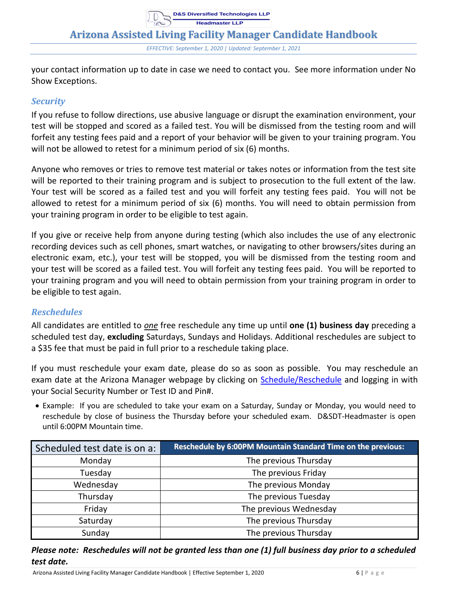**Arizona Assisted Living Facility Manager Candidate Handbook**

*EFFECTIVE: September 1, 2020 | Updated: September 1, 2021*

your contact information up to date in case we need to contact you. See more information under No Show Exceptions.

#### <span id="page-9-0"></span>*Security*

If you refuse to follow directions, use abusive language or disrupt the examination environment, your test will be stopped and scored as a failed test. You will be dismissed from the testing room and will forfeit any testing fees paid and a report of your behavior will be given to your training program. You will not be allowed to retest for a minimum period of six (6) months.

Anyone who removes or tries to remove test material or takes notes or information from the test site will be reported to their training program and is subject to prosecution to the full extent of the law. Your test will be scored as a failed test and you will forfeit any testing fees paid. You will not be allowed to retest for a minimum period of six (6) months. You will need to obtain permission from your training program in order to be eligible to test again.

If you give or receive help from anyone during testing (which also includes the use of any electronic recording devices such as cell phones, smart watches, or navigating to other browsers/sites during an electronic exam, etc.), your test will be stopped, you will be dismissed from the testing room and your test will be scored as a failed test. You will forfeit any testing fees paid. You will be reported to your training program and you will need to obtain permission from your training program in order to be eligible to test again.

#### <span id="page-9-1"></span>*Reschedules*

All candidates are entitled to *one* free reschedule any time up until **one (1) business day** preceding a scheduled test day, **excluding** Saturdays, Sundays and Holidays. Additional reschedules are subject to a \$35 fee that must be paid in full prior to a reschedule taking place.

If you must reschedule your exam date, please do so as soon as possible. You may reschedule an exam date at the Arizona Manager webpage by clicking on [Schedule/Reschedule](https://www.dandsdiversifiedtech.com/cgi-bin/CGIRegMaster/login?StateAbbrv=AF&logtype=Schedule) and logging in with your Social Security Number or Test ID and Pin#[.](http://wi.tmuniverse.com/)

• Example: If you are scheduled to take your exam on a Saturday, Sunday or Monday, you would need to reschedule by close of business the Thursday before your scheduled exam. D&SDT-Headmaster is open until 6:00PM Mountain time.

| Scheduled test date is on a: | Reschedule by 6:00PM Mountain Standard Time on the previous: |
|------------------------------|--------------------------------------------------------------|
| Monday                       | The previous Thursday                                        |
| Tuesday                      | The previous Friday                                          |
| Wednesday                    | The previous Monday                                          |
| Thursday                     | The previous Tuesday                                         |
| Friday                       | The previous Wednesday                                       |
| Saturday                     | The previous Thursday                                        |
| Sunday                       | The previous Thursday                                        |

*Please note: Reschedules will not be granted less than one (1) full business day prior to a scheduled test date.*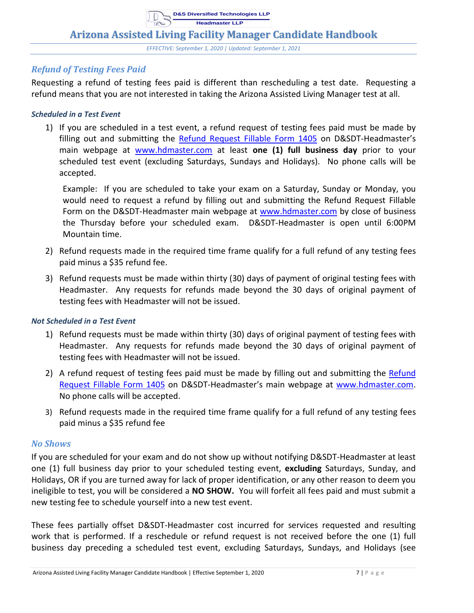**Arizona Assisted Living Facility Manager Candidate Handbook**

*EFFECTIVE: September 1, 2020 | Updated: September 1, 2021*

#### <span id="page-10-0"></span>*Refund of Testing Fees Paid*

Requesting a refund of testing fees paid is different than rescheduling a test date. Requesting a refund means that you are not interested in taking the Arizona Assisted Living Manager test at all.

#### <span id="page-10-1"></span>*Scheduled in a Test Event*

1) If you are scheduled in a test event, a refund request of testing fees paid must be made by filling out and submitting the [Refund Request Fillable Form](https://www.pdffiller.com/en/link_to_fill/619906959.htm) 1405 on D&SDT-Headmaster's main webpage at [www.hdmaster.com](http://www.hdmaster.com/) at least **one (1) full business day** prior to your scheduled test event (excluding Saturdays, Sundays and Holidays). No phone calls will be accepted.

Example: If you are scheduled to take your exam on a Saturday, Sunday or Monday, you would need to request a refund by filling out and submitting the Refund Request Fillable Form on the D&SDT-Headmaster main webpage at [www.hdmaster.com](http://www.hdmaster.com/) by close of business the Thursday before your scheduled exam. D&SDT-Headmaster is open until 6:00PM Mountain time.

- 2) Refund requests made in the required time frame qualify for a full refund of any testing fees paid minus a \$35 refund fee.
- 3) Refund requests must be made within thirty (30) days of payment of original testing fees with Headmaster. Any requests for refunds made beyond the 30 days of original payment of testing fees with Headmaster will not be issued.

#### <span id="page-10-2"></span>*Not Scheduled in a Test Event*

- 1) Refund requests must be made within thirty (30) days of original payment of testing fees with Headmaster. Any requests for refunds made beyond the 30 days of original payment of testing fees with Headmaster will not be issued.
- 2) A refund request of testing fees paid must be made by filling out and submitting the Refund [Request Fillable Form](https://www.pdffiller.com/en/link_to_fill/619906959.htm) 1405 on D&SDT-Headmaster's main webpage at [www.hdmaster.com.](http://www.hdmaster.com/) No phone calls will be accepted.
- 3) Refund requests made in the required time frame qualify for a full refund of any testing fees paid minus a \$35 refund fee

#### <span id="page-10-3"></span>*No Shows*

If you are scheduled for your exam and do not show up without notifying D&SDT-Headmaster at least one (1) full business day prior to your scheduled testing event, **excluding** Saturdays, Sunday, and Holidays, OR if you are turned away for lack of proper identification, or any other reason to deem you ineligible to test, you will be considered a **NO SHOW.** You will forfeit all fees paid and must submit a new testing fee to schedule yourself into a new test event.

These fees partially offset D&SDT-Headmaster cost incurred for services requested and resulting work that is performed. If a reschedule or refund request is not received before the one (1) full business day preceding a scheduled test event, excluding Saturdays, Sundays, and Holidays (see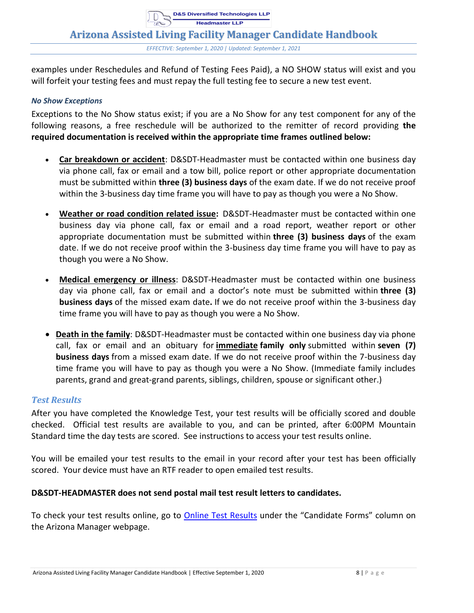**Arizona Assisted Living Facility Manager Candidate Handbook**

*EFFECTIVE: September 1, 2020 | Updated: September 1, 2021*

examples under Reschedules and Refund of Testing Fees Paid), a NO SHOW status will exist and you will forfeit your testing fees and must repay the full testing fee to secure a new test event.

#### <span id="page-11-0"></span>*No Show Exceptions*

Exceptions to the No Show status exist; if you are a No Show for any test component for any of the following reasons, a free reschedule will be authorized to the remitter of record providing **the required documentation is received within the appropriate time frames outlined below:**

- **Car breakdown or accident**: D&SDT-Headmaster must be contacted within one business day via phone call, fax or email and a tow bill, police report or other appropriate documentation must be submitted within **three (3) business days** of the exam date. If we do not receive proof within the 3-business day time frame you will have to pay as though you were a No Show.
- **Weather or road condition related issue:** D&SDT-Headmaster must be contacted within one business day via phone call, fax or email and a road report, weather report or other appropriate documentation must be submitted within **three (3) business days** of the exam date. If we do not receive proof within the 3-business day time frame you will have to pay as though you were a No Show.
- **Medical emergency or illness**: D&SDT-Headmaster must be contacted within one business day via phone call, fax or email and a doctor's note must be submitted within **three (3) business days** of the missed exam date**.** If we do not receive proof within the 3-business day time frame you will have to pay as though you were a No Show.
- **Death in the family**: D&SDT-Headmaster must be contacted within one business day via phone call, fax or email and an obituary for **immediate family only** submitted within **seven (7) business days** from a missed exam date. If we do not receive proof within the 7-business day time frame you will have to pay as though you were a No Show. (Immediate family includes parents, grand and great-grand parents, siblings, children, spouse or significant other.)

#### <span id="page-11-1"></span>*Test Results*

After you have completed the Knowledge Test, your test results will be officially scored and double checked. Official test results are available to you, and can be printed, after 6:00PM Mountain Standard time the day tests are scored. See instructions to access your test results online.

You will be emailed your test results to the email in your record after your test has been officially scored. Your device must have an RTF reader to open emailed test results.

#### **D&SDT-HEADMASTER does not send postal mail test result letters to candidates.**

To check your test results online, go to [Online Test Results](https://www.dandsdiversifiedtech.com/AF/AFCNA_LoginResults.html) under the "Candidate Forms" column on the Arizona Manager webpage.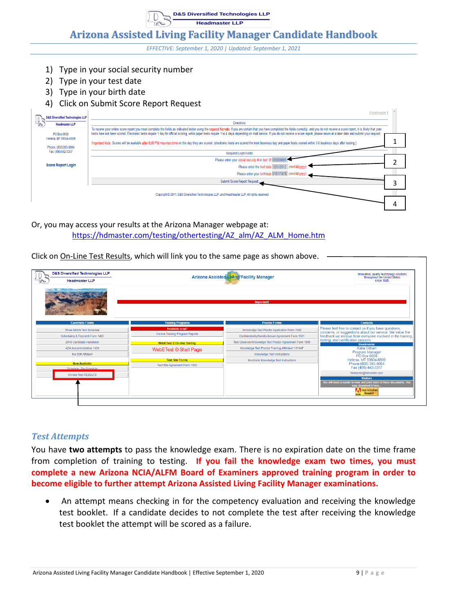**Arizona Assisted Living Facility Manager Candidate Handbook**

*EFFECTIVE: September 1, 2020 | Updated: September 1, 2021*

- 1) Type in your social security number
- 2) Type in your test date
- 3) Type in your birth date
- 4) Click on Submit Score Report Request

| <b>D&amp;S Diversified Technologies LLP</b>                  | Headmaster                                                                                                                                                                                                                                                                                                                                                                                                                                                                                                                                                                                                                                                                             |   |
|--------------------------------------------------------------|----------------------------------------------------------------------------------------------------------------------------------------------------------------------------------------------------------------------------------------------------------------------------------------------------------------------------------------------------------------------------------------------------------------------------------------------------------------------------------------------------------------------------------------------------------------------------------------------------------------------------------------------------------------------------------------|---|
| <b>Headmaster LLP</b>                                        | <b>Directions</b>                                                                                                                                                                                                                                                                                                                                                                                                                                                                                                                                                                                                                                                                      |   |
| PO Box 6609<br>Helena, MT 59604-6609<br>Phone: (800)393-8664 | To receive your online score report you must complete the fields as indicated below using the required formats. If you are certain that you have completed the fields correctly, and you do not receive a score report, it is<br>tests have not been scored. Electronic tests require 1 day for official scoring, while paper tests require 1 to 4 days depending on mail service. If you do not receive a score report, please return at a later date and subm<br>Important Note: Scores will be available after 6:00 PM mountain time on the day they are scored. (electronic tests are scored the next business day and paper tests scored within 3-5 business days after testing.) |   |
| Fax: (406)442-3357                                           | Required Login Fields                                                                                                                                                                                                                                                                                                                                                                                                                                                                                                                                                                                                                                                                  |   |
| <b>Score Report Login</b>                                    | Please enter your social security # or test ID 000000000<br>Please enter the fest date 12/31/2012 (mm/dd/yyyy)                                                                                                                                                                                                                                                                                                                                                                                                                                                                                                                                                                         |   |
|                                                              | Please enter your birthdate 01/01/1970 (mm/dd/yyyy)                                                                                                                                                                                                                                                                                                                                                                                                                                                                                                                                                                                                                                    |   |
|                                                              | Submit Score Report Request                                                                                                                                                                                                                                                                                                                                                                                                                                                                                                                                                                                                                                                            |   |
|                                                              | Copyright © 2011, D&S Diversified Technologies LLP, and Headmaster LLP, All rights reserved                                                                                                                                                                                                                                                                                                                                                                                                                                                                                                                                                                                            | 4 |
|                                                              |                                                                                                                                                                                                                                                                                                                                                                                                                                                                                                                                                                                                                                                                                        |   |

Or, you may access your results at the Arizona Manager webpage at: [https://hdmaster.com/testing/othertesting/AZ\\_alm/AZ\\_ALM\\_Home.htm](https://hdmaster.com/testing/othertesting/AZ_alm/AZ_ALM_Home.htm)

Click on On-Line Test Results, which will link you to the same page as shown above.

| <b>D&amp;S Diversified Technologies LLP</b><br><b>Headmaster LLP</b> | Innovative, quality technology solutions<br><b>Arizona Assisted Living Facility Manager</b><br>throughout the United States<br>since 1985. |                                                          |                                                                                                                         |  |  |  |
|----------------------------------------------------------------------|--------------------------------------------------------------------------------------------------------------------------------------------|----------------------------------------------------------|-------------------------------------------------------------------------------------------------------------------------|--|--|--|
|                                                                      |                                                                                                                                            | <b>Important!</b>                                        |                                                                                                                         |  |  |  |
| <b>Candidate Forms</b>                                               | <b>Training Programs</b>                                                                                                                   | <b>Proctor Forms</b>                                     | <b>Contacts</b>                                                                                                         |  |  |  |
| Three Month Test Schedule                                            | <b>Available now!!</b>                                                                                                                     | Knowledge Test Proctor Application Form 1500             | Please feel free to contact us if you have questions,                                                                   |  |  |  |
| Scheduling & Payment Form 1402                                       | On-line Training Program Reports                                                                                                           | Confidentiality/Nondisclosure Agreement Form 1501        | concerns, or suggestions about our service. We value the<br>feedback we receive from everyone involved in the training. |  |  |  |
| 2016 Candidate Handbook                                              | <b>WebETest © On-line Testing</b>                                                                                                          | Test Observer/Knowledge Test Proctor Agreement Form 1505 | testing, and certification process.<br>Headmaster                                                                       |  |  |  |
| ADA Accommodation 1404                                               | WebETest © Start Page                                                                                                                      | Knowledge Test Proctor Training Affiddavit 1511AF        | <b>Katie Gilbert</b>                                                                                                    |  |  |  |
| No SS# Affidavit                                                     |                                                                                                                                            | <b>Knowledge Test Instructions</b>                       | Program Manager<br>PO Box 6609                                                                                          |  |  |  |
|                                                                      | <b>Test Site Forms</b>                                                                                                                     | <b>Electronic Knowledge Test Instructions</b>            | Helena. MT 59604-6609                                                                                                   |  |  |  |
| <b>Now Available</b><br>Schedule / Re-Schedule                       | Test Site Agreement Form 1502                                                                                                              |                                                          | Phone (800) 393-8664<br>Fax (406) 442-3357                                                                              |  |  |  |
| On-line Test RESULTS                                                 |                                                                                                                                            |                                                          | hdmaster@hdmaster.com                                                                                                   |  |  |  |
|                                                                      |                                                                                                                                            |                                                          | <b>Visitors</b>                                                                                                         |  |  |  |
|                                                                      |                                                                                                                                            |                                                          | You will need a reader to view and print most of these documents. You<br>may download it here.                          |  |  |  |
|                                                                      |                                                                                                                                            |                                                          | Get Acrobat.                                                                                                            |  |  |  |

#### <span id="page-12-0"></span>*Test Attempts*

You have **two attempts** to pass the knowledge exam. There is no expiration date on the time frame from completion of training to testing. **If you fail the knowledge exam two times, you must complete a new Arizona NCIA/ALFM Board of Examiners approved training program in order to become eligible to further attempt Arizona Assisted Living Facility Manager examinations.**

• An attempt means checking in for the competency evaluation and receiving the knowledge test booklet. If a candidate decides to not complete the test after receiving the knowledge test booklet the attempt will be scored as a failure.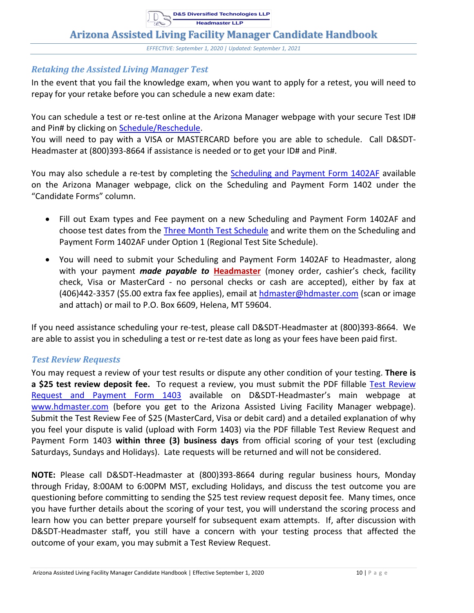## **Arizona Assisted Living Facility Manager Candidate Handbook**

*EFFECTIVE: September 1, 2020 | Updated: September 1, 2021*

#### <span id="page-13-0"></span>*Retaking the Assisted Living Manager Test*

In the event that you fail the knowledge exam, when you want to apply for a retest, you will need to repay for your retake before you can schedule a new exam date:

You can schedule a test or re-test online at the Arizona Manager webpage with your secure Test ID# and Pin# by clicking on [Schedule/Reschedule.](https://www.dandsdiversifiedtech.com/cgi-bin/CGIRegMaster/login?StateAbbrv=AF&logtype=Schedule)

You will need to pay with a VISA or MASTERCARD before you are able to schedule. Call D&SDT-Headmaster at (800)393-8664 if assistance is needed or to get your ID# and Pin#.

You may also schedule a re-test by completing the [Scheduling and Payment Form 1402AF](https://hdmaster.com/testing/othertesting/AZ_alm/afformpages/afforms/1402AF.pdf) available on the Arizona Manager webpage, click on the Scheduling and Payment Form 1402 under the "Candidate Forms" column.

- Fill out Exam types and Fee payment on a new Scheduling and Payment Form 1402AF and choose test dates from the [Three Month Test Schedule](https://www.dandsdiversifiedtech.com/cgi-bin/CGIRegMaster/schedule?StateAbbrv=AF) and write them on the Scheduling and Payment Form 1402AF under Option 1 (Regional Test Site Schedule).
- You will need to submit your Scheduling and Payment Form 1402AF to Headmaster, along with your payment *made payable to* **Headmaster** (money order, cashier's check, facility check, Visa or MasterCard - no personal checks or cash are accepted), either by fax at (406)442-3357 (\$5.00 extra fax fee applies), email a[t hdmaster@hdmaster.com](mailto:hdmaster@hdmaster.com) (scan or image and attach) or mail to P.O. Box 6609, Helena, MT 59604.

If you need assistance scheduling your re-test, please call D&SDT-Headmaster at (800)393-8664. We are able to assist you in scheduling a test or re-test date as long as your fees have been paid first.

#### <span id="page-13-1"></span>*Test Review Requests*

You may request a review of your test results or dispute any other condition of your testing. **There is a \$25 test review deposit fee.** To request a review, you must submit the PDF fillable [Test Review](https://www.pdffiller.com/en/link_to_fill/556709955.htm)  [Request and Payment](https://www.pdffiller.com/en/link_to_fill/556709955.htm) Form 1403 available on D&SDT-Headmaster's main webpage at [www.hdmaster.com](http://www.hdmaster.com/) (before you get to the Arizona Assisted Living Facility Manager webpage). Submit the Test Review Fee of \$25 (MasterCard, Visa or debit card) and a detailed explanation of why you feel your dispute is valid (upload with Form 1403) via the PDF fillable Test Review Request and Payment Form 1403 **within three (3) business days** from official scoring of your test (excluding Saturdays, Sundays and Holidays). Late requests will be returned and will not be considered.

**NOTE:** Please call D&SDT-Headmaster at (800)393-8664 during regular business hours, Monday through Friday, 8:00AM to 6:00PM MST, excluding Holidays, and discuss the test outcome you are questioning before committing to sending the \$25 test review request deposit fee. Many times, once you have further details about the scoring of your test, you will understand the scoring process and learn how you can better prepare yourself for subsequent exam attempts. If, after discussion with D&SDT-Headmaster staff, you still have a concern with your testing process that affected the outcome of your exam, you may submit a Test Review Request.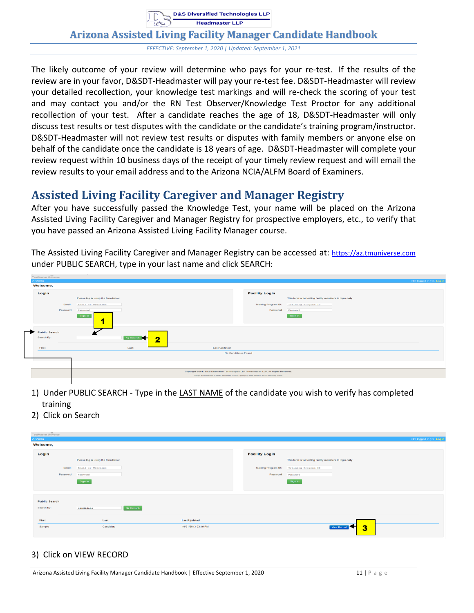#### **Arizona Assisted Living Facility Manager Candidate Handbook**

*EFFECTIVE: September 1, 2020 | Updated: September 1, 2021*

The likely outcome of your review will determine who pays for your re-test. If the results of the review are in your favor, D&SDT-Headmaster will pay your re-test fee. D&SDT-Headmaster will review your detailed recollection, your knowledge test markings and will re-check the scoring of your test and may contact you and/or the RN Test Observer/Knowledge Test Proctor for any additional recollection of your test. After a candidate reaches the age of 18, D&SDT-Headmaster will only discuss test results or test disputes with the candidate or the candidate's training program/instructor. D&SDT-Headmaster will not review test results or disputes with family members or anyone else on behalf of the candidate once the candidate is 18 years of age. D&SDT-Headmaster will complete your review request within 10 business days of the receipt of your timely review request and will email the review results to your email address and to the Arizona NCIA/ALFM Board of Examiners.

## <span id="page-14-0"></span>**Assisted Living Facility Caregiver and Manager Registry**

After you have successfully passed the Knowledge Test, your name will be placed on the Arizona Assisted Living Facility Caregiver and Manager Registry for prospective employers, etc., to verify that you have passed an Arizona Assisted Living Facility Manager course.

The Assisted Living Facility Caregiver and Manager Registry can be accessed at: [https://az.tmuniverse.com](https://az.tmuniverse.com/) under PUBLIC SEARCH, type in your last name and click SEARCH:

| TestMaster Universe  |                                          |                                                                                         |                                                                               |                                                         |
|----------------------|------------------------------------------|-----------------------------------------------------------------------------------------|-------------------------------------------------------------------------------|---------------------------------------------------------|
| Arizona              |                                          |                                                                                         |                                                                               | Not logged in yet. Login                                |
| Welcome,             |                                          |                                                                                         |                                                                               |                                                         |
| Login                | Please log in using the form below       |                                                                                         | <b>Facility Login</b>                                                         | This form is for testing facility members to login only |
| Email                | Email or Username                        |                                                                                         | <b>Training Program ID:</b>                                                   | <b>Training Program ID</b>                              |
| Password             | Password                                 |                                                                                         | Password                                                                      | Password                                                |
|                      | Sign in                                  |                                                                                         |                                                                               | Sign in                                                 |
| <b>Public Search</b> |                                          |                                                                                         |                                                                               |                                                         |
| Search By:           | Q Search<br>$\overline{\mathbf{z}}$<br>- |                                                                                         |                                                                               |                                                         |
| First                | Last                                     | <b>Last Updated</b>                                                                     |                                                                               |                                                         |
|                      |                                          |                                                                                         | No Candidates Found                                                           |                                                         |
|                      |                                          |                                                                                         |                                                                               |                                                         |
|                      |                                          |                                                                                         |                                                                               |                                                         |
|                      |                                          | Copyright @2013 D&S Diversified Technologies LLP / Headmaster LLP, All Rights Reserved. |                                                                               |                                                         |
|                      |                                          |                                                                                         | Script executed in 0.0090 seconds, 0 SQL query(s) and 1MB of PHP memory used. |                                                         |
|                      |                                          |                                                                                         |                                                                               |                                                         |

1)Under PUBLIC SEARCH - Type in the LAST NAME of the candidate you wish to verify has completed training

| 2) Click on Search |
|--------------------|
|                    |

| TestMaster Universe  |          |                                    |          |                     |                             |                                                         |                  |   |                          |
|----------------------|----------|------------------------------------|----------|---------------------|-----------------------------|---------------------------------------------------------|------------------|---|--------------------------|
| <b>Arizona</b>       |          |                                    |          |                     |                             |                                                         |                  |   | Not logged in yet. Login |
| Welcome,             |          |                                    |          |                     |                             |                                                         |                  |   |                          |
| Login                |          |                                    |          |                     | <b>Facility Login</b>       |                                                         |                  |   |                          |
|                      |          | Please log in using the form below |          |                     |                             | This form is for testing facility members to login only |                  |   |                          |
|                      | Email:   | Email or Username                  |          |                     | <b>Training Program ID:</b> | Training Program ID                                     |                  |   |                          |
|                      | Password | Password                           |          |                     | Password                    | Password                                                |                  |   |                          |
|                      |          | Sign in                            |          |                     |                             | Sign in                                                 |                  |   |                          |
|                      |          |                                    |          |                     |                             |                                                         |                  |   |                          |
|                      |          |                                    |          |                     |                             |                                                         |                  |   |                          |
| <b>Public Search</b> |          |                                    |          |                     |                             |                                                         |                  |   |                          |
| Search By:           |          | candidate                          | Q Search |                     |                             |                                                         |                  |   |                          |
|                      |          |                                    |          |                     |                             |                                                         |                  |   |                          |
| First                |          | Last                               |          | <b>Last Updated</b> |                             |                                                         |                  |   |                          |
| Sample               |          | Candidate                          |          | 10/31/2013 03:19 PM |                             |                                                         | View Record<br>н | 3 |                          |
|                      |          |                                    |          |                     |                             |                                                         |                  |   |                          |

#### 3)Click on VIEW RECORD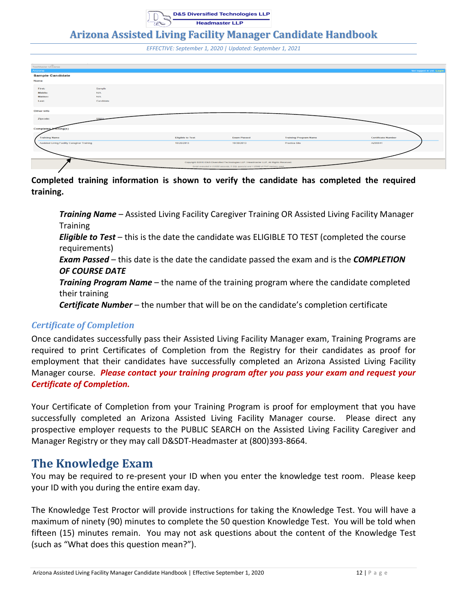**Arizona Assisted Living Facility Manager Candidate Handbook**

*EFFECTIVE: September 1, 2020 | Updated: September 1, 2021*

| TestMaster Universe                         |            |                         |                                                                                         |                              |                           |                          |
|---------------------------------------------|------------|-------------------------|-----------------------------------------------------------------------------------------|------------------------------|---------------------------|--------------------------|
| Arizona                                     |            |                         |                                                                                         |                              |                           | Not logged in yet. Login |
| <b>Sample Candidate</b>                     |            |                         |                                                                                         |                              |                           |                          |
| Name                                        |            |                         |                                                                                         |                              |                           |                          |
|                                             |            |                         |                                                                                         |                              |                           |                          |
| First:                                      | Sample     |                         |                                                                                         |                              |                           |                          |
| Middle:                                     | <b>N/A</b> |                         |                                                                                         |                              |                           |                          |
| Maiden:                                     | N/A        |                         |                                                                                         |                              |                           |                          |
| Last:                                       | Candidate  |                         |                                                                                         |                              |                           |                          |
|                                             |            |                         |                                                                                         |                              |                           |                          |
| Other info                                  |            |                         |                                                                                         |                              |                           |                          |
|                                             |            |                         |                                                                                         |                              |                           |                          |
| Zipcode:                                    |            |                         |                                                                                         |                              |                           |                          |
|                                             |            |                         |                                                                                         |                              |                           |                          |
| <b>Completed Training(s)</b>                |            |                         |                                                                                         |                              |                           |                          |
|                                             |            |                         |                                                                                         |                              |                           |                          |
| <b>Training Name</b>                        |            | <b>Eligible to Test</b> | <b>Exam Passed</b>                                                                      | <b>Training Program Name</b> | <b>Certificate Number</b> |                          |
|                                             |            |                         |                                                                                         |                              |                           |                          |
| Assisted Living Facility Caregiver Training |            | 10/20/2013              | 10/30/2013                                                                              | <b>Practice Site</b>         | AZ00041                   |                          |
|                                             |            |                         |                                                                                         |                              |                           |                          |
|                                             |            |                         |                                                                                         |                              |                           |                          |
|                                             |            |                         |                                                                                         |                              |                           |                          |
|                                             |            |                         | Copyright @2013 D&S Diversified Technologies LLP / Headmaster LLP, All Rights Reserved. |                              |                           |                          |
|                                             |            |                         | Script executed in 0.0050 seconds, 5 SQL query(s) and 1.25MB of PHP memory used.        |                              |                           |                          |

#### **Completed training information is shown to verify the candidate has completed the required training.**

*Training Name* – Assisted Living Facility Caregiver Training OR Assisted Living Facility Manager **Training** 

*Eligible to Test* – this is the date the candidate was ELIGIBLE TO TEST (completed the course requirements)

*Exam Passed* – this date is the date the candidate passed the exam and is the *COMPLETION OF COURSE DATE*

*Training Program Name* – the name of the training program where the candidate completed their training

*Certificate Number* – the number that will be on the candidate's completion certificate

#### <span id="page-15-0"></span>*Certificate of Completion*

Once candidates successfully pass their Assisted Living Facility Manager exam, Training Programs are required to print Certificates of Completion from the Registry for their candidates as proof for employment that their candidates have successfully completed an Arizona Assisted Living Facility Manager course. *Please contact your training program after you pass your exam and request your Certificate of Completion.*

Your Certificate of Completion from your Training Program is proof for employment that you have successfully completed an Arizona Assisted Living Facility Manager course. Please direct any prospective employer requests to the PUBLIC SEARCH on the Assisted Living Facility Caregiver and Manager Registry or they may call D&SDT-Headmaster at (800)393-8664.

## <span id="page-15-1"></span>**The Knowledge Exam**

You may be required to re-present your ID when you enter the knowledge test room. Please keep your ID with you during the entire exam day.

The Knowledge Test Proctor will provide instructions for taking the Knowledge Test. You will have a maximum of ninety (90) minutes to complete the 50 question Knowledge Test. You will be told when fifteen (15) minutes remain. You may not ask questions about the content of the Knowledge Test (such as "What does this question mean?").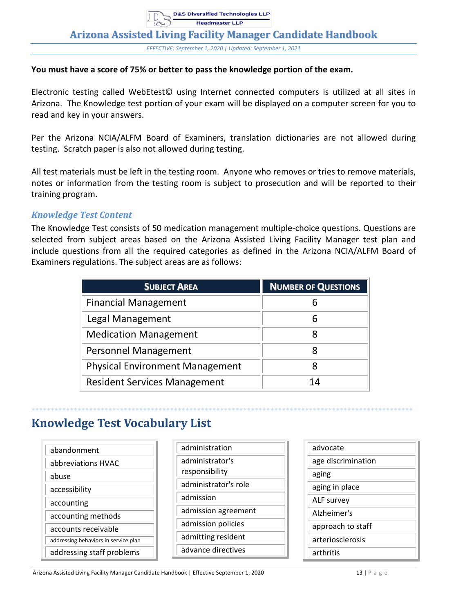**Arizona Assisted Living Facility Manager Candidate Handbook**

*EFFECTIVE: September 1, 2020 | Updated: September 1, 2021*

#### **You must have a score of 75% or better to pass the knowledge portion of the exam.**

Electronic testing called WebEtest© using Internet connected computers is utilized at all sites in Arizona. The Knowledge test portion of your exam will be displayed on a computer screen for you to read and key in your answers.

Per the Arizona NCIA/ALFM Board of Examiners, translation dictionaries are not allowed during testing. Scratch paper is also not allowed during testing.

All test materials must be left in the testing room. Anyone who removes or tries to remove materials, notes or information from the testing room is subject to prosecution and will be reported to their training program.

#### <span id="page-16-0"></span>*Knowledge Test Content*

The Knowledge Test consists of 50 medication management multiple-choice questions. Questions are selected from subject areas based on the Arizona Assisted Living Facility Manager test plan and include questions from all the required categories as defined in the Arizona NCIA/ALFM Board of Examiners regulations. The subject areas are as follows:

| <b>SUBJECT AREA</b>                    | <b>NUMBER OF QUESTIONS</b> |
|----------------------------------------|----------------------------|
| <b>Financial Management</b>            |                            |
| Legal Management                       | 6                          |
| <b>Medication Management</b>           | 8                          |
| Personnel Management                   | 8                          |
| <b>Physical Environment Management</b> | 8                          |
| <b>Resident Services Management</b>    | 14                         |

**\*\*\*\*\*\*\*\*\*\*\*\*\*\*\*\*\*\*\*\*\*\*\*\*\*\*\*\*\*\*\*\*\*\*\*\*\*\*\*\*\*\*\*\*\*\*\*\*\*\*\*\*\*\*\*\*\*\*\*\*\*\*\*\*\*\*\*\*\*\*\*\*\*\*\*\*\*\*\*\*\*\*\*\*\*\*\*\*\*\*\*\*\*\*\*\*\*\*\***

## <span id="page-16-1"></span>**Knowledge Test Vocabulary List**

| abandonment                          |
|--------------------------------------|
| abbreviations HVAC                   |
| abuse                                |
| accessibility                        |
| accounting                           |
| accounting methods                   |
| accounts receivable                  |
| addressing behaviors in service plan |
| addressing staff problems            |

| administration       |  |
|----------------------|--|
| administrator's      |  |
| responsibility       |  |
| administrator's role |  |
| admission            |  |
| admission agreement  |  |
| admission policies   |  |
| admitting resident   |  |
| advance directives   |  |

| advocate           |
|--------------------|
| age discrimination |
| aging              |
| aging in place     |
| <b>ALF survey</b>  |
| Alzheimer's        |
| approach to staff  |
| arteriosclerosis   |
| arthritis          |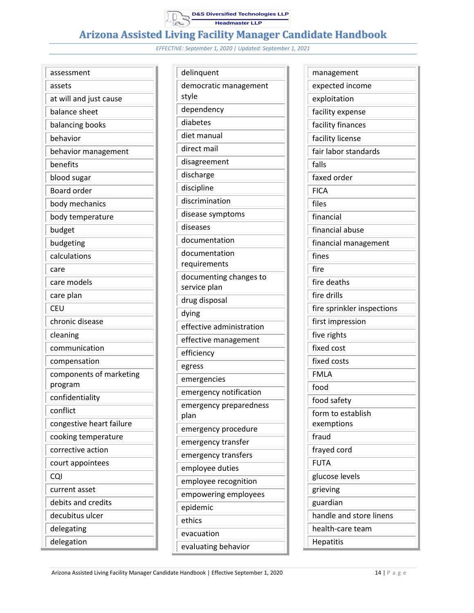## **Arizona Assisted Living Facility Manager Candidate Handbook**

| assessment               |
|--------------------------|
| assets                   |
| at will and just cause   |
| balance sheet            |
| balancing books          |
| behavior                 |
| behavior management      |
| benefits                 |
| blood sugar              |
| <b>Board order</b>       |
| body mechanics           |
| body temperature         |
| budget                   |
| budgeting                |
| calculations             |
| care                     |
| care models              |
| care plan                |
| <b>CEU</b>               |
| chronic disease          |
| cleaning                 |
| communication            |
| compensation             |
| components of marketing  |
| program                  |
| confidentiality          |
| conflict                 |
| congestive heart failure |
| cooking temperature      |
| corrective action        |
| court appointees         |
| <b>CQI</b>               |
| current asset            |
| debits and credits       |
| decubitus ulcer          |
| delegating               |
| delegation               |

| delinquent               |
|--------------------------|
| democratic management    |
| style                    |
| dependency               |
| diabetes                 |
| diet manual              |
| direct mail              |
| disagreement             |
| discharge                |
| discipline               |
| discrimination           |
| disease symptoms         |
| diseases                 |
| documentation            |
| documentation            |
| requirements             |
| documenting changes to   |
| service plan             |
| drug disposal            |
| dying                    |
| effective administration |
| effective management     |
| efficiency               |
| egress                   |
| emergencies              |
| emergency notification   |
| emergency preparedness   |
| plan                     |
| emergency procedure      |
| emergency transfer       |
| emergency transfers      |
| employee duties          |
| employee recognition     |
| empowering employees     |
| epidemic                 |
| ethics                   |
| evacuation               |
| evaluating behavior      |

| management<br>expected income<br>exploitation<br>facility expense<br>facility finances<br>facility license<br>fair labor standards<br>falls<br>faxed order<br><b>FICA</b><br>files<br>financial |
|-------------------------------------------------------------------------------------------------------------------------------------------------------------------------------------------------|
|                                                                                                                                                                                                 |
|                                                                                                                                                                                                 |
|                                                                                                                                                                                                 |
|                                                                                                                                                                                                 |
|                                                                                                                                                                                                 |
|                                                                                                                                                                                                 |
|                                                                                                                                                                                                 |
|                                                                                                                                                                                                 |
|                                                                                                                                                                                                 |
|                                                                                                                                                                                                 |
|                                                                                                                                                                                                 |
|                                                                                                                                                                                                 |
| financial abuse                                                                                                                                                                                 |
| financial management                                                                                                                                                                            |
| fines                                                                                                                                                                                           |
| fire                                                                                                                                                                                            |
| fire deaths                                                                                                                                                                                     |
| fire drills                                                                                                                                                                                     |
| fire sprinkler inspections                                                                                                                                                                      |
| first impression                                                                                                                                                                                |
| five rights                                                                                                                                                                                     |
| fixed cost                                                                                                                                                                                      |
| fixed costs                                                                                                                                                                                     |
| <b>FMLA</b>                                                                                                                                                                                     |
| food                                                                                                                                                                                            |
| food safety                                                                                                                                                                                     |
| form to establish                                                                                                                                                                               |
| exemptions                                                                                                                                                                                      |
| fraud                                                                                                                                                                                           |
| frayed cord                                                                                                                                                                                     |
| <b>FUTA</b>                                                                                                                                                                                     |
| glucose levels                                                                                                                                                                                  |
| grieving                                                                                                                                                                                        |
| guardian                                                                                                                                                                                        |
| handle and store linens                                                                                                                                                                         |
| health-care team                                                                                                                                                                                |
|                                                                                                                                                                                                 |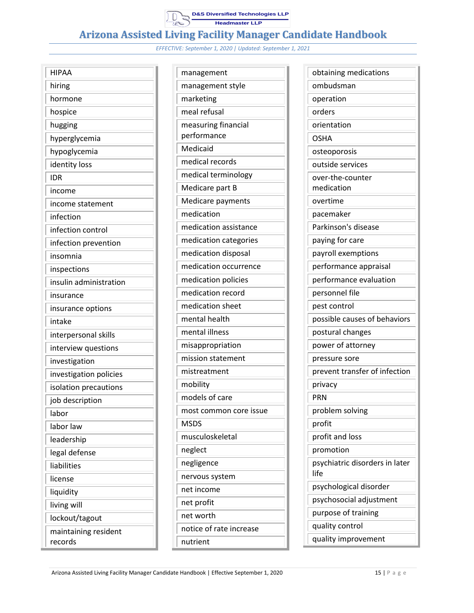## **Arizona Assisted Living Facility Manager Candidate Handbook**

| <b>HIPAA</b>                    |
|---------------------------------|
| hiring                          |
| hormone                         |
| hospice                         |
| hugging                         |
| hyperglycemia                   |
| hypoglycemia                    |
| identity loss                   |
| <b>IDR</b>                      |
| income                          |
| income statement                |
| infection                       |
| infection control               |
| infection prevention            |
| insomnia                        |
| inspections                     |
| insulin administration          |
| insurance                       |
| insurance options               |
| intake                          |
| interpersonal skills            |
| interview questions             |
| investigation                   |
| investigation policies          |
| isolation precautions           |
| job description                 |
| labor                           |
| labor law                       |
| leadership                      |
| legal defense                   |
| liabilities                     |
| license                         |
| liquidity                       |
| living will                     |
| lockout/tagout                  |
| maintaining resident<br>records |

| management              |
|-------------------------|
| management style        |
| marketing               |
| meal refusal            |
| measuring financial     |
| performance             |
| Medicaid                |
| medical records         |
| medical terminology     |
| Medicare part B         |
| Medicare payments       |
| medication              |
| medication assistance   |
| medication categories   |
| medication disposal     |
| medication occurrence   |
| medication policies     |
| medication record       |
| medication sheet        |
| mental health           |
| mental illness          |
| misappropriation        |
| mission statement       |
| mistreatment            |
| mobility                |
| models of care          |
| most common core issue  |
| <b>MSDS</b>             |
| musculoskeletal         |
| neglect                 |
| negligence              |
| nervous system          |
| net income              |
| net profit              |
| net worth               |
| notice of rate increase |
| nutrient                |

| obtaining medications          |
|--------------------------------|
| ombudsman                      |
| operation                      |
| orders                         |
| orientation                    |
| OSHA                           |
| osteoporosis                   |
| outside services               |
| over-the-counter               |
| medication                     |
| overtime                       |
| pacemaker                      |
| Parkinson's disease            |
| paying for care                |
| payroll exemptions             |
| performance appraisal          |
| performance evaluation         |
| personnel file                 |
| pest control                   |
| possible causes of behaviors   |
| postural changes               |
| power of attorney              |
| pressure sore                  |
| prevent transfer of infection  |
| privacy                        |
| PRN                            |
| problem solving                |
| profit                         |
| profit and loss                |
| promotion                      |
| psychiatric disorders in later |
| life                           |
| psychological disorder         |
| psychosocial adjustment        |
| purpose of training            |
| quality control                |
| quality improvement            |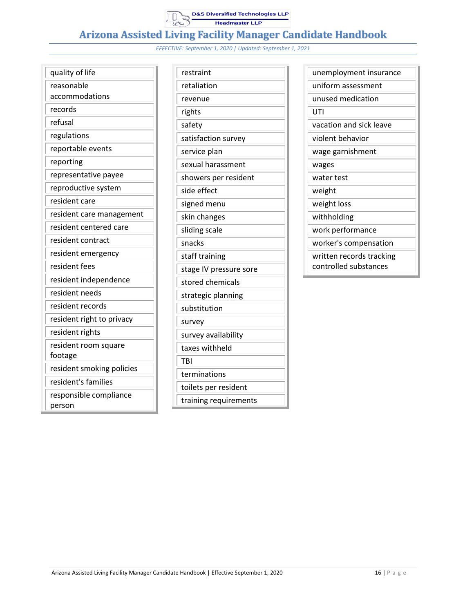## **Arizona Assisted Living Facility Manager Candidate Handbook**

| quality of life           |
|---------------------------|
| reasonable                |
| accommodations            |
| records                   |
| refusal                   |
| regulations               |
| reportable events         |
| reporting                 |
| representative payee      |
| reproductive system       |
| resident care             |
| resident care management  |
| resident centered care    |
| resident contract         |
| resident emergency        |
| resident fees             |
| resident independence     |
| resident needs            |
| resident records          |
| resident right to privacy |
| resident rights           |
| resident room square      |
| footage                   |
| resident smoking policies |
| resident's families       |
| responsible compliance    |
| person                    |

| restraint              |
|------------------------|
| retaliation            |
| revenue                |
| rights                 |
| safety                 |
| satisfaction survey    |
| service plan           |
| sexual harassment      |
| showers per resident   |
| side effect            |
| signed menu            |
| skin changes           |
| sliding scale          |
| snacks                 |
| staff training         |
| stage IV pressure sore |
| stored chemicals       |
| strategic planning     |
| substitution           |
| survey                 |
| survey availability    |
| taxes withheld         |
| <b>TBI</b>             |
| terminations           |
| toilets per resident   |
| training requirements  |

| unemployment insurance   |
|--------------------------|
| uniform assessment       |
| unused medication        |
| UTI                      |
| vacation and sick leave  |
| violent behavior         |
| wage garnishment         |
| wages                    |
| water test               |
| weight                   |
| weight loss              |
| withholding              |
| work performance         |
| worker's compensation    |
| written records tracking |
| controlled substances    |
|                          |